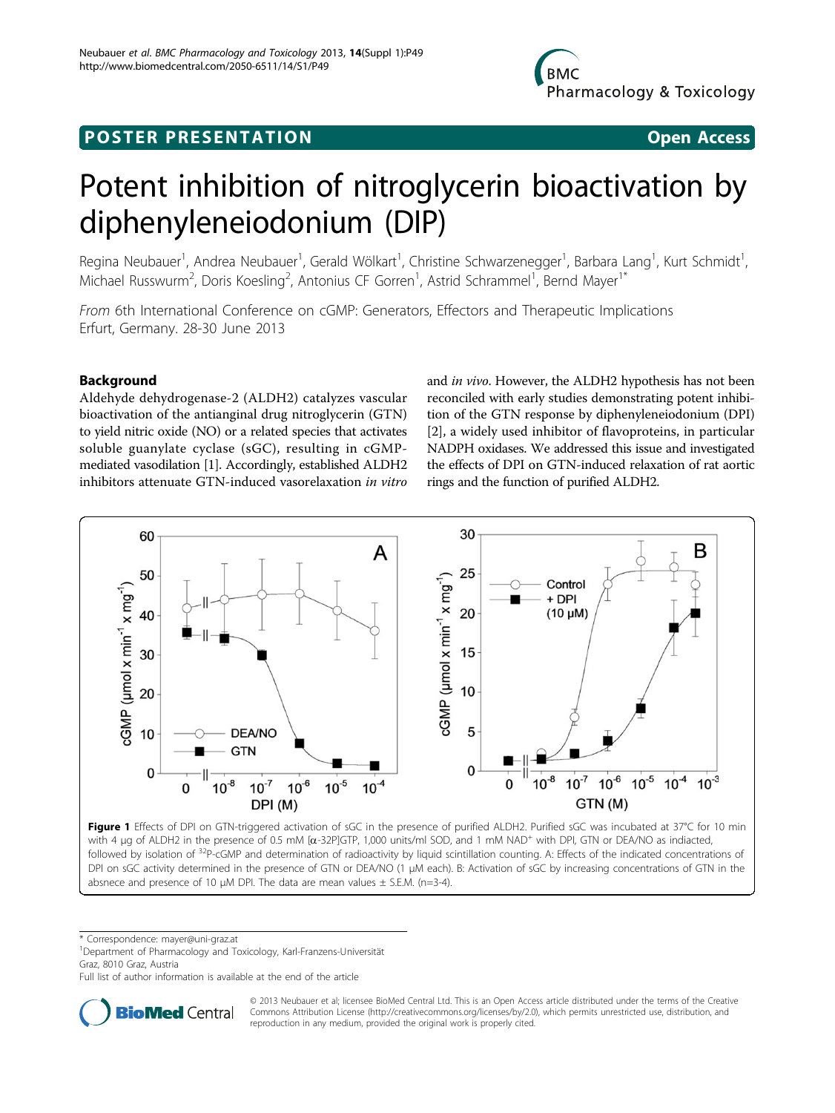# <span id="page-0-0"></span>**POSTER PRESENTATION CONSUMING ACCESS**



# Potent inhibition of nitroglycerin bioactivation by diphenyleneiodonium (DIP)

Regina Neubauer<sup>1</sup>, Andrea Neubauer<sup>1</sup>, Gerald Wölkart<sup>1</sup>, Christine Schwarzenegger<sup>1</sup>, Barbara Lang<sup>1</sup>, Kurt Schmidt<sup>1</sup> , Michael Russwurm<sup>2</sup>, Doris Koesling<sup>2</sup>, Antonius CF Gorren<sup>1</sup>, Astrid Schrammel<sup>1</sup>, Bernd Mayer<sup>1\*</sup>

From 6th International Conference on cGMP: Generators, Effectors and Therapeutic Implications Erfurt, Germany. 28-30 June 2013

# Background

Aldehyde dehydrogenase-2 (ALDH2) catalyzes vascular bioactivation of the antianginal drug nitroglycerin (GTN) to yield nitric oxide (NO) or a related species that activates soluble guanylate cyclase (sGC), resulting in cGMPmediated vasodilation [\[1](#page-1-0)]. Accordingly, established ALDH2 inhibitors attenuate GTN-induced vasorelaxation in vitro

and in vivo. However, the ALDH2 hypothesis has not been reconciled with early studies demonstrating potent inhibition of the GTN response by diphenyleneiodonium (DPI) [[2\]](#page-1-0), a widely used inhibitor of flavoproteins, in particular NADPH oxidases. We addressed this issue and investigated the effects of DPI on GTN-induced relaxation of rat aortic rings and the function of purified ALDH2.



Figure 1 Effects of DPI on GTN-triggered activation of sGC in the presence of purified ALDH2. Purified sGC was incubated at 37°C for 10 min with 4 µg of ALDH2 in the presence of 0.5 mM [a-32P]GTP, 1,000 units/ml SOD, and 1 mM NAD<sup>+</sup> with DPI, GTN or DEA/NO as indiacted, followed by isolation of <sup>32</sup>P-cGMP and determination of radioactivity by liquid scintillation counting. A: Effects of the indicated concentrations of DPI on sGC activity determined in the presence of GTN or DEA/NO (1 µM each). B: Activation of sGC by increasing concentrations of GTN in the absnece and presence of 10  $\mu$ M DPI. The data are mean values  $\pm$  S.E.M. (n=3-4).

\* Correspondence: [mayer@uni-graz.at](mailto:mayer@uni-graz.at)

1 Department of Pharmacology and Toxicology, Karl-Franzens-Universität Graz, 8010 Graz, Austria

Full list of author information is available at the end of the article



© 2013 Neubauer et al; licensee BioMed Central Ltd. This is an Open Access article distributed under the terms of the Creative Commons Attribution License [\(http://creativecommons.org/licenses/by/2.0](http://creativecommons.org/licenses/by/2.0)), which permits unrestricted use, distribution, and reproduction in any medium, provided the original work is properly cited.